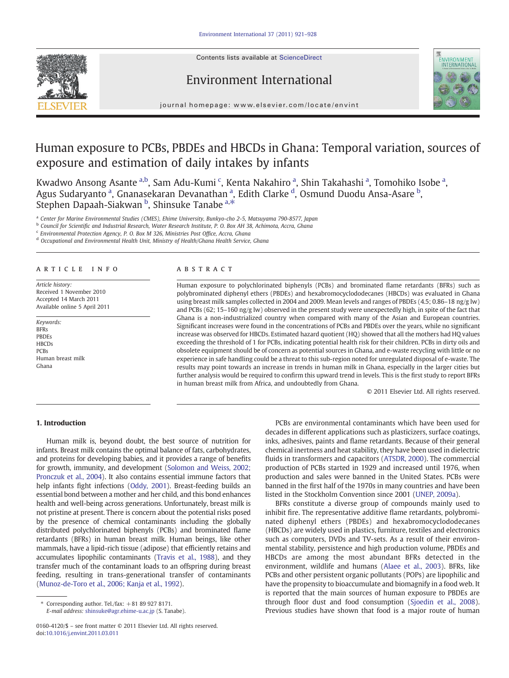Contents lists available at ScienceDirect







journal homepage: www.elsevier.com/locate/envint

# Human exposure to PCBs, PBDEs and HBCDs in Ghana: Temporal variation, sources of exposure and estimation of daily intakes by infants

Kwadwo Ansong Asante <sup>a,b</sup>, Sam Adu-Kumi <sup>c</sup>, Kenta Nakahiro <sup>a</sup>, Shin Takahashi <sup>a</sup>, Tomohiko Isobe <sup>a</sup>, Agus Sudaryanto <sup>a</sup>, Gnanasekaran Devanathan <sup>a</sup>, Edith Clarke <sup>d</sup>, Osmund Duodu Ansa-Asare <sup>b</sup>, Stephen Dapaah-Siakwan <sup>b</sup>, Shinsuke Tanabe <sup>a,\*</sup>

<sup>a</sup> Center for Marine Environmental Studies (CMES), Ehime University, Bunkyo-cho 2-5, Matsuyama 790-8577, Japan

<sup>b</sup> Council for Scientific and Industrial Research, Water Research Institute, P. O. Box AH 38, Achimota, Accra, Ghana

<sup>c</sup> Environmental Protection Agency, P. O. Box M 326, Ministries Post Office, Accra, Ghana

<sup>d</sup> Occupational and Environmental Health Unit, Ministry of Health/Ghana Health Service, Ghana

### article info abstract

Article history: Received 1 November 2010 Accepted 14 March 2011 Available online 5 April 2011

Keywords: BFRs PBDEs **HBCDs** PCBs Human breast milk Ghana

Human exposure to polychlorinated biphenyls (PCBs) and brominated flame retardants (BFRs) such as polybrominated diphenyl ethers (PBDEs) and hexabromocyclododecanes (HBCDs) was evaluated in Ghana using breast milk samples collected in 2004 and 2009. Mean levels and ranges of PBDEs (4.5; 0.86–18 ng/g lw) and PCBs (62; 15–160 ng/g lw) observed in the present study were unexpectedly high, in spite of the fact that Ghana is a non-industrialized country when compared with many of the Asian and European countries. Significant increases were found in the concentrations of PCBs and PBDEs over the years, while no significant increase was observed for HBCDs. Estimated hazard quotient (HQ) showed that all the mothers had HQ values exceeding the threshold of 1 for PCBs, indicating potential health risk for their children. PCBs in dirty oils and obsolete equipment should be of concern as potential sources in Ghana, and e-waste recycling with little or no experience in safe handling could be a threat to this sub-region noted for unregulated disposal of e-waste. The results may point towards an increase in trends in human milk in Ghana, especially in the larger cities but further analysis would be required to confirm this upward trend in levels. This is the first study to report BFRs in human breast milk from Africa, and undoubtedly from Ghana.

© 2011 Elsevier Ltd. All rights reserved.

# 1. Introduction

Human milk is, beyond doubt, the best source of nutrition for infants. Breast milk contains the optimal balance of fats, carbohydrates, and proteins for developing babies, and it provides a range of benefits for growth, immunity, and development [\(Solomon and Weiss, 2002;](#page-7-0) [Pronczuk et al., 2004](#page-7-0)). It also contains essential immune factors that help infants fight infections ([Oddy, 2001](#page-7-0)). Breast-feeding builds an essential bond between a mother and her child, and this bond enhances health and well-being across generations. Unfortunately, breast milk is not pristine at present. There is concern about the potential risks posed by the presence of chemical contaminants including the globally distributed polychlorinated biphenyls (PCBs) and brominated flame retardants (BFRs) in human breast milk. Human beings, like other mammals, have a lipid-rich tissue (adipose) that efficiently retains and accumulates lipophilic contaminants ([Travis et al., 1988](#page-7-0)), and they transfer much of the contaminant loads to an offspring during breast feeding, resulting in trans-generational transfer of contaminants [\(Munoz-de-Toro et al., 2006; Kanja et al., 1992](#page-7-0)).

PCBs are environmental contaminants which have been used for decades in different applications such as plasticizers, surface coatings, inks, adhesives, paints and flame retardants. Because of their general chemical inertness and heat stability, they have been used in dielectric fluids in transformers and capacitors [\(ATSDR, 2000\)](#page-6-0). The commercial production of PCBs started in 1929 and increased until 1976, when production and sales were banned in the United States. PCBs were banned in the first half of the 1970s in many countries and have been listed in the Stockholm Convention since 2001 [\(UNEP, 2009a](#page-7-0)).

BFRs constitute a diverse group of compounds mainly used to inhibit fire. The representative additive flame retardants, polybrominated diphenyl ethers (PBDEs) and hexabromocyclododecanes (HBCDs) are widely used in plastics, furniture, textiles and electronics such as computers, DVDs and TV-sets. As a result of their environmental stability, persistence and high production volume, PBDEs and HBCDs are among the most abundant BFRs detected in the environment, wildlife and humans [\(Alaee et al., 2003](#page-6-0)). BFRs, like PCBs and other persistent organic pollutants (POPs) are lipophilic and have the propensity to bioaccumulate and biomagnify in a food web. It is reported that the main sources of human exposure to PBDEs are through floor dust and food consumption ([Sjoedin et al., 2008](#page-7-0)). Previous studies have shown that food is a major route of human

Corresponding author. Tel./fax:  $+81899278171$ . E-mail address: [shinsuke@agr.ehime-u.ac.jp](mailto:shinsuke@agr.ehime-u.ac.jp) (S. Tanabe).

<sup>0160-4120/\$</sup> – see front matter © 2011 Elsevier Ltd. All rights reserved. doi:[10.1016/j.envint.2011.03.011](http://dx.doi.org/10.1016/j.envint.2011.03.011)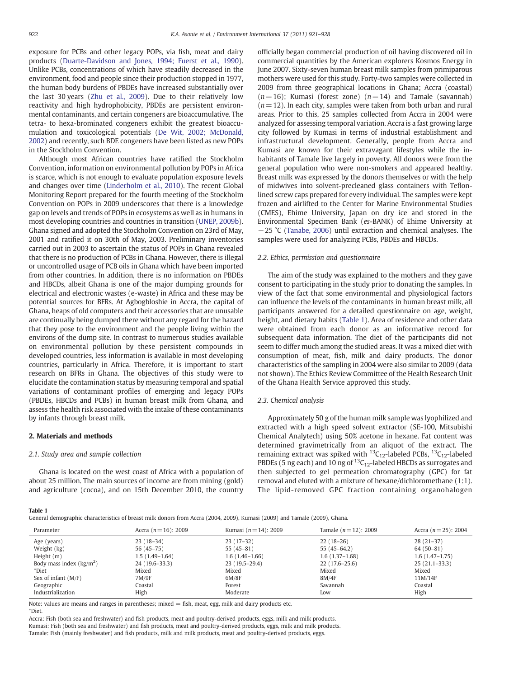exposure for PCBs and other legacy POPs, via fish, meat and dairy products ([Duarte-Davidson and Jones](#page-6-0), 1994; Fuerst et al., 1990). Unlike PCBs, concentrations of which have steadily decreased in the environment, food and people since their production stopped in 1977, the human body burdens of PBDEs have increased substantially over the last 30 years [\(Zhu et al., 2009](#page-7-0)). Due to their relatively low reactivity and high hydrophobicity, PBDEs are persistent environmental contaminants, and certain congeners are bioaccumulative. The tetra- to hexa-brominated congeners exhibit the greatest bioaccumulation and toxicological potentials [\(De Wit, 2002; McDonald,](#page-6-0) [2002\)](#page-6-0) and recently, such BDE congeners have been listed as new POPs in the Stockholm Convention.

Although most African countries have ratified the Stockholm Convention, information on environmental pollution by POPs in Africa is scarce, which is not enough to evaluate population exposure levels and changes over time ([Linderholm et al., 2010](#page-7-0)). The recent Global Monitoring Report prepared for the fourth meeting of the Stockholm Convention on POPs in 2009 underscores that there is a knowledge gap on levels and trends of POPs in ecosystems as well as in humans in most developing countries and countries in transition ([UNEP, 2009b](#page-7-0)). Ghana signed and adopted the Stockholm Convention on 23rd of May, 2001 and ratified it on 30th of May, 2003. Preliminary inventories carried out in 2003 to ascertain the status of POPs in Ghana revealed that there is no production of PCBs in Ghana. However, there is illegal or uncontrolled usage of PCB oils in Ghana which have been imported from other countries. In addition, there is no information on PBDEs and HBCDs, albeit Ghana is one of the major dumping grounds for electrical and electronic wastes (e-waste) in Africa and these may be potential sources for BFRs. At Agbogbloshie in Accra, the capital of Ghana, heaps of old computers and their accessories that are unusable are continually being dumped there without any regard for the hazard that they pose to the environment and the people living within the environs of the dump site. In contrast to numerous studies available on environmental pollution by these persistent compounds in developed countries, less information is available in most developing countries, particularly in Africa. Therefore, it is important to start research on BFRs in Ghana. The objectives of this study were to elucidate the contamination status by measuring temporal and spatial variations of contaminant profiles of emerging and legacy POPs (PBDEs, HBCDs and PCBs) in human breast milk from Ghana, and assess the health risk associated with the intake of these contaminants by infants through breast milk.

# 2. Materials and methods

### 2.1. Study area and sample collection

Ghana is located on the west coast of Africa with a population of about 25 million. The main sources of income are from mining (gold) and agriculture (cocoa), and on 15th December 2010, the country officially began commercial production of oil having discovered oil in commercial quantities by the American explorers Kosmos Energy in June 2007. Sixty-seven human breast milk samples from primiparous mothers were used for this study. Forty-two samples were collected in 2009 from three geographical locations in Ghana; Accra (coastal)  $(n= 16)$ ; Kumasi (forest zone)  $(n= 14)$  and Tamale (savannah)  $(n= 12)$ . In each city, samples were taken from both urban and rural areas. Prior to this, 25 samples collected from Accra in 2004 were analyzed for assessing temporal variation. Accra is a fast growing large city followed by Kumasi in terms of industrial establishment and infrastructural development. Generally, people from Accra and Kumasi are known for their extravagant lifestyles while the inhabitants of Tamale live largely in poverty. All donors were from the general population who were non-smokers and appeared healthy. Breast milk was expressed by the donors themselves or with the help of midwives into solvent-precleaned glass containers with Teflonlined screw caps prepared for every individual. The samples were kept frozen and airlifted to the Center for Marine Environmental Studies (CMES), Ehime University, Japan on dry ice and stored in the Environmental Specimen Bank (es-BANK) of Ehime University at −25 °C ([Tanabe, 2006\)](#page-7-0) until extraction and chemical analyses. The samples were used for analyzing PCBs, PBDEs and HBCDs.

#### 2.2. Ethics, permission and questionnaire

The aim of the study was explained to the mothers and they gave consent to participating in the study prior to donating the samples. In view of the fact that some environmental and physiological factors can influence the levels of the contaminants in human breast milk, all participants answered for a detailed questionnaire on age, weight, height, and dietary habits (Table 1). Area of residence and other data were obtained from each donor as an informative record for subsequent data information. The diet of the participants did not seem to differ much among the studied areas. It was a mixed diet with consumption of meat, fish, milk and dairy products. The donor characteristics of the sampling in 2004 were also similar to 2009 (data not shown). The Ethics Review Committee of the Health Research Unit of the Ghana Health Service approved this study.

# 2.3. Chemical analysis

Approximately 50 g of the human milk sample was lyophilized and extracted with a high speed solvent extractor (SE-100, Mitsubishi Chemical Analytech) using 50% acetone in hexane. Fat content was determined gravimetrically from an aliquot of the extract. The remaining extract was spiked with  ${}^{13}C_{12}$ -labeled PCBs,  ${}^{13}C_{12}$ -labeled PBDEs (5 ng each) and 10 ng of  ${}^{13}C_{12}$ -labeled HBCDs as surrogates and then subjected to gel permeation chromatography (GPC) for fat removal and eluted with a mixture of hexane/dichloromethane (1:1). The lipid-removed GPC fraction containing organohalogen

Table 1

| General demographic characteristics of breast milk donors from Accra (2004, 2009), Kumasi (2009) and Tamale (2009), Ghana. |  |
|----------------------------------------------------------------------------------------------------------------------------|--|
|----------------------------------------------------------------------------------------------------------------------------|--|

| Parameter                 | Accra $(n=16)$ : 2009 | Kumasi $(n=14)$ : 2009 | Tamale $(n=12)$ : 2009 | Accra $(n=25)$ : 2004 |
|---------------------------|-----------------------|------------------------|------------------------|-----------------------|
| Age (years)               | $23(18-34)$           | $23(17-32)$            | $22(18-26)$            | $28(21-37)$           |
| Weight (kg)               | $56(45-75)$           | $55(45-81)$            | $55(45-64.2)$          | $64(50-81)$           |
| Height $(m)$              | $1.5(1.49-1.64)$      | $1.6(1.46-1.66)$       | $1.6(1.37-1.68)$       | $1.6(1.47-1.75)$      |
| Body mass index $(kg/m2)$ | 24 (19.6–33.3)        | 23 (19.5–29.4)         | $22(17.6-25.6)$        | $25(21.1-33.3)$       |
| *Diet                     | Mixed                 | Mixed                  | Mixed                  | Mixed                 |
| Sex of infant $(M/F)$     | 7M/9F                 | 6M/8F                  | 8M/4F                  | 11M/14F               |
| Geographic                | Coastal               | Forest                 | Savannah               | Coastal               |
| Industrialization         | High                  | Moderate               | Low                    | High                  |

Note: values are means and ranges in parentheses; mixed  $=$  fish, meat, egg, milk and dairy products etc. \*Diet.

Accra: Fish (both sea and freshwater) and fish products, meat and poultry-derived products, eggs, milk and milk products. Kumasi: Fish (both sea and freshwater) and fish products, meat and poultry-derived products, eggs, milk and milk products. Tamale: Fish (mainly freshwater) and fish products, milk and milk products, meat and poultry-derived products, eggs.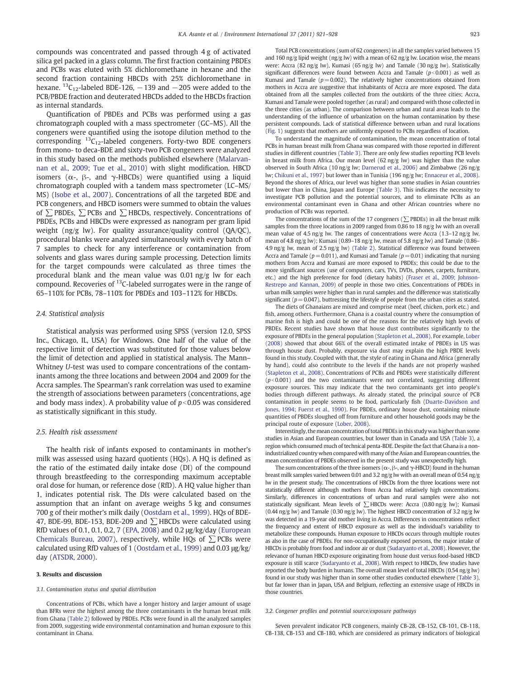compounds was concentrated and passed through 4 g of activated silica gel packed in a glass column. The first fraction containing PBDEs and PCBs was eluted with 5% dichloromethane in hexane and the second fraction containing HBCDs with 25% dichloromethane in hexane. <sup>13</sup>C<sub>12</sub>-labeled BDE-126, −139 and −205 were added to the PCB/PBDE fraction and deuterated HBCDs added to the HBCDs fraction as internal standards.

Quantification of PBDEs and PCBs was performed using a gas chromatograph coupled with a mass spectrometer (GC–MS). All the congeners were quantified using the isotope dilution method to the corresponding  ${}^{13}C_{12}$ -labeled congeners. Forty-two BDE congeners from mono- to deca-BDE and sixty-two PCB congeners were analyzed in this study based on the methods published elsewhere [\(Malarvan](#page-7-0)[nan et al., 2009; Tue et al., 2010](#page-7-0)) with slight modification. HBCD isomers ( $\alpha$ -,  $\beta$ -, and  $\gamma$ -HBCDs) were quantified using a liquid chromatograph coupled with a tandem mass spectrometer (LC–MS/ MS) ([Isobe et al., 2007\)](#page-7-0). Concentrations of all the targeted BDE and PCB congeners, and HBCD isomers were summed to obtain the values of  $\Sigma$  PBDEs,  $\Sigma$  PCBs and  $\Sigma$  HBCDs, respectively. Concentrations of PBDEs, PCBs and HBCDs were expressed as nanogram per gram lipid weight (ng/g lw). For quality assurance/quality control (QA/QC), procedural blanks were analyzed simultaneously with every batch of 7 samples to check for any interference or contamination from solvents and glass wares during sample processing. Detection limits for the target compounds were calculated as three times the procedural blank and the mean value was 0.01 ng/g lw for each compound. Recoveries of 13C-labeled surrogates were in the range of 65–110% for PCBs, 78–110% for PBDEs and 103–112% for HBCDs.

# 2.4. Statistical analysis

Statistical analysis was performed using SPSS (version 12.0, SPSS Inc., Chicago, IL, USA) for Windows. One half of the value of the respective limit of detection was substituted for those values below the limit of detection and applied in statistical analysis. The Mann– Whitney U-test was used to compare concentrations of the contaminants among the three locations and between 2004 and 2009 for the Accra samples. The Spearman's rank correlation was used to examine the strength of associations between parameters (concentrations, age and body mass index). A probability value of  $p<0.05$  was considered as statistically significant in this study.

# 2.5. Health risk assessment

The health risk of infants exposed to contaminants in mother's milk was assessed using hazard quotients (HQs). A HQ is defined as the ratio of the estimated daily intake dose (DI) of the compound through breastfeeding to the corresponding maximum acceptable oral dose for human, or reference dose (RfD). A HQ value higher than 1, indicates potential risk. The DIs were calculated based on the assumption that an infant on average weighs 5 kg and consumes 700 g of their mother's milk daily [\(Oostdam et al., 1999](#page-7-0)). HQs of BDE-47, BDE-99, BDE-153, BDE-209 and  $\sum$  HBCDs were calculated using RfD values of 0.1, 0.1, 0.2, 7 ([EPA, 2008](#page-6-0)) and 0.2 μg/kg/day ([European](#page-7-0) [Chemicals Bureau, 2007](#page-7-0)), respectively, while HQs of  $\Sigma$  PCBs were calculated using RfD values of 1 [\(Oostdam et al., 1999\)](#page-7-0) and 0.03 μg/kg/ day ([ATSDR, 2000](#page-6-0)).

#### 3. Results and discussion

#### 3.1. Contamination status and spatial distribution

Concentrations of PCBs, which have a longer history and larger amount of usage than BFRs were the highest among the three contaminants in the human breast milk from Ghana ([Table 2](#page-3-0)) followed by PBDEs. PCBs were found in all the analyzed samples from 2009, suggesting wide environmental contamination and human exposure to this contaminant in Ghana.

Total PCB concentrations (sum of 62 congeners) in all the samples varied between 15 and 160 ng/g lipid weight (ng/g lw) with a mean of 62 ng/g lw. Location wise, the means were: Accra (82 ng/g lw), Kumasi (65 ng/g lw) and Tamale (30 ng/g lw). Statistically significant differences were found between Accra and Tamale  $(p<0.001)$  as well as Kumasi and Tamale ( $p=0.002$ ). The relatively higher concentrations obtained from mothers in Accra are suggestive that inhabitants of Accra are more exposed. The data obtained from all the samples collected from the outskirts of the three cities; Accra, Kumasi and Tamale were pooled together (as rural) and compared with those collected in the three cities (as urban). The comparison between urban and rural areas leads to the understanding of the influence of urbanization on the human contamination by these persistent compounds. Lack of statistical difference between urban and rural locations [\(Fig. 1](#page-3-0)) suggests that mothers are uniformly exposed to PCBs regardless of location.

To understand the magnitude of contamination, the mean concentration of total PCBs in human breast milk from Ghana was compared with those reported in different studies in different countries [\(Table 3](#page-4-0)). There are only few studies reporting PCB levels in breast milk from Africa. Our mean level (62 ng/g lw) was higher than the value observed in South Africa (10 ng/g lw; [Darnerud et al., 2006](#page-6-0)) and Zimbabwe (26 ng/g lw; [Chikuni et al., 1997](#page-6-0)) but lower than in Tunisia (196 ng/g lw; [Ennaceur et al., 2008](#page-6-0)). Beyond the shores of Africa, our level was higher than some studies in Asian countries but lower than in China, Japan and Europe ([Table 3](#page-4-0)). This indicates the necessity to investigate PCB pollution and the potential sources, and to eliminate PCBs as an environmental contaminant even in Ghana and other African countries where no production of PCBs was reported.

The concentrations of the sum of the 17 congeners ( $\sum$  PBDEs) in all the breast milk samples from the three locations in 2009 ranged from 0.86 to 18 ng/g lw with an overall mean value of 4.5 ng/g lw. The ranges of concentrations were Accra (1.3–12 ng/g lw, mean of 4.8 ng/g lw); Kumasi (0.89–18 ng/g lw, mean of 5.8 ng/g lw) and Tamale (0.86– 4.9 ng/g lw, mean of 2.5 ng/g lw) ([Table 2](#page-3-0)). Statistical difference was found between Accra and Tamale ( $p=0.011$ ), and Kumasi and Tamale ( $p=0.01$ ) indicating that nursing mothers from Accra and Kumasi are more exposed to PBDEs; this could be due to the more significant sources (use of computers, cars, TVs, DVDs, phones, carpets, furniture, etc.) and the high preference for food (dietary habits) ([Fraser et al., 2009; Johnson-](#page-7-0)[Restrepo and Kannan, 2009\)](#page-7-0) of people in those two cities. Concentrations of PBDEs in urban milk samples were higher than in rural samples and the difference was statistically significant ( $p=0.047$ ), buttressing the lifestyle of people from the urban cities as stated.

The diets of Ghanaians are mixed and comprise meat (beef, chicken, pork etc.) and fish, among others. Furthermore, Ghana is a coastal country where the consumption of marine fish is high and could be one of the reasons for the relatively high levels of PBDEs. Recent studies have shown that house dust contributes significantly to the exposure of PBDEs in the general population ([Stapleton et al., 2008](#page-7-0)). For example, [Lober](#page-7-0) [\(2008\)](#page-7-0) showed that about 66% of the overall estimated intake of PBDEs in US was through house dust. Probably, exposure via dust may explain the high PBDE levels found in this study. Coupled with that, the style of eating in Ghana and Africa (generally by hand), could also contribute to the levels if the hands are not properly washed [\(Stapleton et al., 2008](#page-7-0)). Concentrations of PCBs and PBDEs were statistically different  $(p<0.001)$  and the two contaminants were not correlated, suggesting different exposure sources. This may indicate that the two contaminants get into people's bodies through different pathways. As already stated, the principal source of PCB contamination in people seems to be food, particularly fish [\(Duarte-Davidson and](#page-6-0) [Jones, 1994; Fuerst et al](#page-6-0)., 1990). For PBDEs, ordinary house dust, containing minute quantities of PBDEs sloughed off from furniture and other household goods may be the principal route of exposure ([Lober, 2008](#page-7-0)).

Interestingly, the mean concentration of total PBDEs in this study was higher than some studies in Asian and European countries, but lower than in Canada and USA ([Table 3](#page-4-0)), a region which consumed much of technical penta-BDE. Despite the fact that Ghana is a nonindustrialized country when compared with many of the Asian and European countries, the mean concentration of PBDEs observed in the present study was unexpectedly high.

The sum concentrations of the three isomers ( $\alpha$ -,  $\beta$ -, and  $\gamma$ -HBCD) found in the human breast milk samples varied between 0.01 and 3.2 ng/g lw with an overall mean of 0.54 ng/g lw in the present study. The concentrations of HBCDs from the three locations were not statistically different although mothers from Accra had relatively high concentrations. Similarly, differences in concentrations of urban and rural samples were also not statistically significant. Mean levels of  $\sum$  HBCDs were: Accra (0.80 ng/g lw); Kumasi (0.44 ng/g lw) and Tamale (0.30 ng/g lw). The highest HBCD concentration of 3.2 ng/g lw was detected in a 19-year old mother living in Accra. Differences in concentrations reflect the frequency and extent of HBCD exposure as well as the individual's variability to metabolize these compounds. Human exposure to HBCDs occurs through multiple routes as also in the case of PBDEs. For non-occupationally exposed persons, the major intake of HBCDs is probably from food and indoor air or dust ([Sudaryanto et al., 2008\)](#page-7-0). However, the relevance of human HBCD exposure originating from house dust versus food-based HBCD exposure is still scarce [\(Sudaryanto et al., 2008](#page-7-0)). With respect to HBCDs, few studies have reported the body burden in humans. The overall mean level of total HBCDs (0.54 ng/g lw) found in our study was higher than in some other studies conducted elsewhere [\(Table 3](#page-4-0)), but far lower than in Japan, USA and Belgium, reflecting an extensive usage of HBCDs in those countries.

#### 3.2. Congener profiles and potential source/exposure pathways

Seven prevalent indicator PCB congeners, mainly CB-28, CB-152, CB-101, CB-118, CB-138, CB-153 and CB-180, which are considered as primary indicators of biological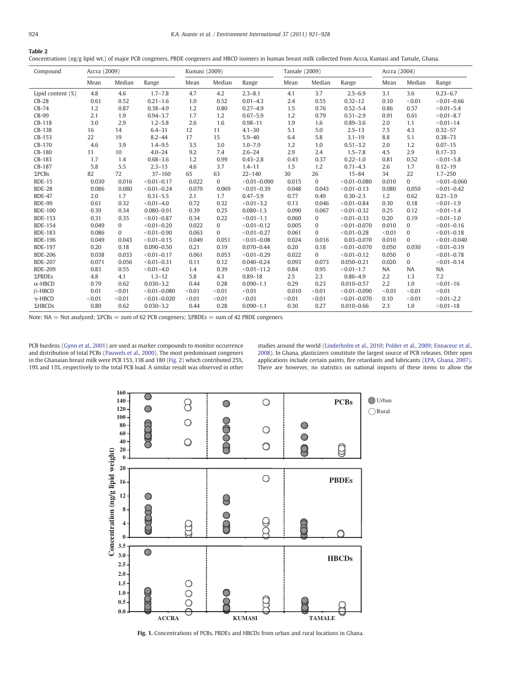# <span id="page-3-0"></span>Table 2

Concentrations (ng/g lipid wt.) of major PCB congeners, PBDE congeners and HBCD isomers in human breast milk collected from Accra, Kumasi and Tamale, Ghana.

| Compound          | Accra (2009) |          |                  | Kumasi (2009) |              |                  | Tamale (2009) |              |                  | Accra (2004) |                |                  |
|-------------------|--------------|----------|------------------|---------------|--------------|------------------|---------------|--------------|------------------|--------------|----------------|------------------|
|                   | Mean         | Median   | Range            | Mean          | Median       | Range            | Mean          | Median       | Range            | Mean         | Median         | Range            |
| Lipid content (%) | 4.8          | 4.6      | $1.7 - 7.8$      | 4.7           | 4.2          | $2.3 - 8.1$      | 4.1           | 3.7          | $2.5 - 6.9$      | 3.1          | 3.6            | $0.23 - 6.7$     |
| $CB-28$           | 0.61         | 0.52     | $0.21 - 1.6$     | 1.0           | 0.52         | $0.01 - 4.3$     | 2.4           | 0.55         | $0.32 - 12$      | 0.10         | < 0.01         | $< 0.01 - 0.66$  |
| $CB-74$           | 1.2          | 0.87     | $0.38 - 4.9$     | 1.2           | 0.80         | $0.27 - 4.9$     | 1.5           | 0.76         | $0.52 - 5.4$     | 0.86         | 0.57           | $< 0.01 - 5.4$   |
| CB-99             | 2.1          | 1.9      | $0.94 - 3.7$     | 1.7           | 1.2          | $0.67 - 5.9$     | 1.2           | 0.79         | $0.51 - 2.9$     | 0.91         | 0.61           | $< 0.01 - 8.7$   |
| CB-118            | 3.0          | 2.9      | $1.2 - 5.8$      | 2.6           | 1.6          | $0.98 - 11$      | 1.9           | 1.6          | $0.89 - 3.6$     | 2.0          | 1.1            | $< 0.01 - 14$    |
| CB-138            | 16           | 14       | $6.4 - 31$       | 12            | 11           | $4.1 - 30$       | 5.1           | 5.0          | $2.5 - 13$       | 7.5          | 4.3            | $0.32 - 57$      |
| CB-153            | 22           | 19       | $8.2 - 44$       | 17            | 15           | $5.9 - 40$       | 6.4           | 5.8          | $3.1 - 19$       | 8.8          | 5.1            | $0.38 - 73$      |
| CB-170            | 4.6          | 3.9      | $1.4 - 9.5$      | 3.5           | 3.0          | $1.0 - 7.9$      | 1.2           | 1.0          | $0.51 - 3.2$     | 2.0          | 1.2            | $0.07 - 15$      |
| CB-180            | 11           | 10       | $4.0 - 24$       | 9.2           | 7.4          | $2.6 - 24$       | 2.9           | 2.4          | $1.5 - 7.8$      | 4.5          | 2.9            | $0.17 - 33$      |
| CB-183            | 1.7          | 1.4      | $0.68 - 3.6$     | 1.2           | 0.99         | $0.43 - 2.8$     | 0.43          | 0.37         | $0.22 - 1.0$     | 0.81         | 0.52           | $< 0.01 - 5.8$   |
| CB-187            | 5.8          | 5.5      | $2.3 - 13$       | 4.6           | 3.7          | $1.4 - 11$       | 1.5           | 1.2          | $0.71 - 4.3$     | 2.6          | 1.7            | $0.12 - 19$      |
| $\Sigma$ PCBs     | 82           | 72       | $37 - 160$       | 65            | 63           | $22 - 140$       | 30            | 26           | $15 - 84$        | 34           | 22             | $1.7 - 250$      |
| <b>BDE-15</b>     | 0.030        | 0.016    | $< 0.01 - 0.17$  | 0.022         | $\Omega$     | $< 0.01 - 0.090$ | 0.015         | $\mathbf{0}$ | $< 0.01 - 0.080$ | 0.010        | $\overline{0}$ | $< 0.01 - 0.060$ |
| <b>BDE-28</b>     | 0.086        | 0.080    | $< 0.01 - 0.24$  | 0.079         | 0.069        | $< 0.01 - 0.39$  | 0.048         | 0.043        | $< 0.01 - 0.13$  | 0.080        | 0.050          | $< 0.01 - 0.42$  |
| <b>BDE-47</b>     | 2.0          | 1.7      | $0.31 - 5.5$     | 2.1           | 1.7          | $0.47 - 5.9$     | 0.77          | 0.49         | $0.30 - 2.3$     | 1.2          | 0.62           | $0.21 - 3.9$     |
| <b>BDE-99</b>     | 0.61         | 0.32     | $< 0.01 - 4.0$   | 0.72          | 0.32         | $<0.01-3.2$      | 0.13          | 0.046        | $< 0.01 - 0.84$  | 0.30         | 0.18           | $< 0.01 - 1.9$   |
| <b>BDE-100</b>    | 0.39         | 0.34     | $0.080 - 0.91$   | 0.39          | 0.25         | $0.080 - 1.3$    | 0.090         | 0.067        | $< 0.01 - 0.32$  | 0.25         | 0.12           | $< 0.01 - 1.4$   |
| <b>BDE-153</b>    | 0.31         | 0.35     | $< 0.01 - 0.87$  | 0.34          | 0.22         | $< 0.01 - 1.1$   | 0.060         | $\mathbf{0}$ | $< 0.01 - 0.33$  | 0.20         | 0.19           | $< 0.01 - 1.0$   |
| <b>BDE-154</b>    | 0.049        | $\Omega$ | $< 0.01 - 0.20$  | 0.022         | $\mathbf{0}$ | $< 0.01 - 0.12$  | 0.005         | $\Omega$     | $< 0.01 - 0.070$ | 0.010        | $\mathbf{0}$   | $< 0.01 - 0.16$  |
| <b>BDE-183</b>    | 0.086        | $\Omega$ | $< 0.01 - 0.90$  | 0.063         | $\Omega$     | $< 0.01 - 0.27$  | 0.061         | $\Omega$     | $< 0.01 - 0.28$  | < 0.01       | $\mathbf{0}$   | $< 0.01 - 0.18$  |
| <b>BDE-196</b>    | 0.049        | 0.043    | $< 0.01 - 0.15$  | 0.049         | 0.051        | $< 0.01 - 0.08$  | 0.024         | 0.016        | $0.03 - 0.070$   | 0.010        | $\Omega$       | $< 0.01 - 0.040$ |
| <b>BDE-197</b>    | 0.20         | 0.18     | $0.090 - 0.50$   | 0.21          | 0.19         | $0.070 - 0.44$   | 0.20          | 0.18         | $< 0.01 - 0.070$ | 0.050        | 0.030          | $< 0.01 - 0.19$  |
| <b>BDE-206</b>    | 0.038        | 0.033    | $< 0.01 - 0.17$  | 0.061         | 0.053        | $< 0.01 - 0.29$  | 0.022         | $\Omega$     | $< 0.01 - 0.12$  | 0.050        | $\mathbf{0}$   | $< 0.01 - 0.78$  |
| <b>BDE-207</b>    | 0.071        | 0.056    | $< 0.01 - 0.31$  | 0.11          | 0.12         | $0.040 - 0.24$   | 0.093         | 0.073        | $0.050 - 0.21$   | 0.020        | $\Omega$       | $< 0.01 - 0.14$  |
| <b>BDE-209</b>    | 0.83         | 0.55     | $< 0.01 - 4.0$   | 1.4           | 0.39         | $< 0.01 - 11.2$  | 0.84          | 0.95         | $< 0.01 - 1.7$   | <b>NA</b>    | <b>NA</b>      | <b>NA</b>        |
| $\Sigma$ PBDEs    | 4.8          | 4.1      | $1.3 - 12$       | 5.8           | 4.3          | $0.89 - 18$      | 2.5           | 2.3          | $0.86 - 4.9$     | 2.2          | 1.3            | 7.2              |
| $\alpha$ -HBCD    | 0.79         | 0.62     | $0.030 - 3.2$    | 0.44          | 0.28         | $0.090 - 1.1$    | 0.29          | 0.23         | $0.010 - 0.57$   | 2.2          | 1.0            | $< 0.01 - 16$    |
| $\beta$ -HBCD     | 0.01         | < 0.01   | $< 0.01 - 0.080$ | < 0.01        | < 0.01       | < 0.01           | 0.010         | < 0.01       | $< 0.01 - 0.090$ | < 0.01       | < 0.01         | < 0.01           |
| $\gamma$ -HBCD    | < 0.01       | < 0.01   | $< 0.01 - 0.020$ | < 0.01        | < 0.01       | < 0.01           | < 0.01        | < 0.01       | $< 0.01 - 0.070$ | 0.10         | < 0.01         | $< 0.01 - 2.2$   |
| $\Sigma$ HBCDs    | 0.80         | 0.62     | $0.030 - 3.2$    | 0.44          | 0.28         | $0.090 - 1.1$    | 0.30          | 0.27         | $0.010 - 0.66$   | 2.3          | 1.0            | $< 0.01 - 18$    |

Note: NA = Not analyzed; ΣPCBs = sum of 62 PCB congeners; ΣPBDEs = sum of 42 PBDE congeners.

PCB burdens ([Gynn et al., 2001](#page-7-0)) are used as marker compounds to monitor occurrence and distribution of total PCBs [\(Pauwels et al., 2000\)](#page-7-0). The most predominant congeners in the Ghanaian breast milk were PCB 153, 138 and 180 ([Fig. 2\)](#page-4-0) which contributed 25%, 19% and 13%, respectively to the total PCB load. A similar result was observed in other

studies around the world [\(Linderholm et al., 2010; Polder et al., 2009; Ennaceur et al.,](#page-7-0) [2008](#page-7-0)). In Ghana, plasticizers constitute the largest source of PCB releases. Other open applications include certain paints, fire retardants and lubricants ([EPA, Ghana, 2007\)](#page-6-0). There are however, no statistics on national imports of these items to allow the



Fig. 1. Concentrations of PCBs, PBDEs and HBCDs from urban and rural locations in Ghana.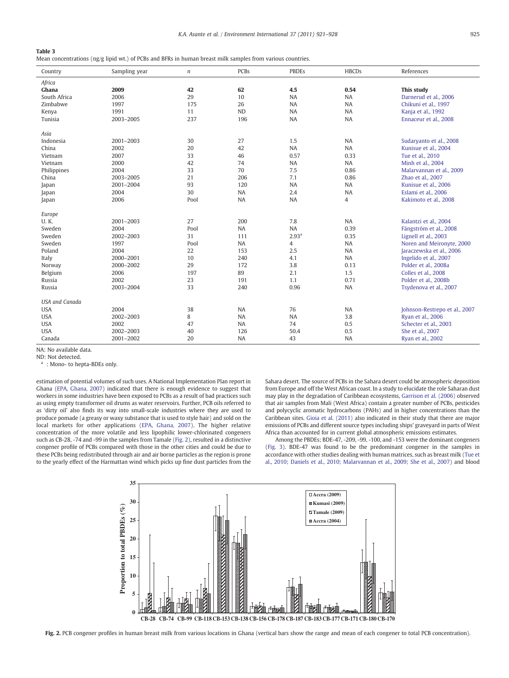# <span id="page-4-0"></span>Table 3

Mean concentrations (ng/g lipid wt.) of PCBs and BFRs in human breast milk samples from various countries.

| Country               | Sampling year | $\boldsymbol{n}$ | <b>PCBs</b> | <b>PBDEs</b>      | <b>HBCDs</b> | References                    |
|-----------------------|---------------|------------------|-------------|-------------------|--------------|-------------------------------|
| Africa                |               |                  |             |                   |              |                               |
| Ghana                 | 2009          | 42               | 62          | 4.5               | 0.54         | This study                    |
| South Africa          | 2006          | 29               | 10          | NA                | NA           | Darnerud et al., 2006         |
| Zimbabwe              | 1997          | 175              | 26          | NA                | <b>NA</b>    | Chikuni et al., 1997          |
| Kenya                 | 1991          | 11               | <b>ND</b>   | NA                | <b>NA</b>    | Kanja et al., 1992            |
| Tunisia               | 2003-2005     | 237              | 196         | NA                | <b>NA</b>    | Ennaceur et al., 2008         |
| Asia                  |               |                  |             |                   |              |                               |
| Indonesia             | 2001-2003     | 30               | 27          | 1.5               | <b>NA</b>    | Sudaryanto et al., 2008       |
| China                 | 2002          | 20               | 42          | NA                | NA           | Kunisue et al., 2004          |
| Vietnam               | 2007          | 33               | 46          | 0.57              | 0.33         | Tue et al., 2010              |
| Vietnam               | 2000          | 42               | 74          | NA                | NA           | Minh et al., 2004             |
| Philippines           | 2004          | 33               | 70          | 7.5               | 0.86         | Malarvannan et al., 2009      |
| China                 | 2003-2005     | 21               | 206         | 7.1               | 0.86         | Zhao et al., 2007             |
| Japan                 | 2001-2004     | 93               | 120         | NA                | NA           | Kunisue et al., 2006          |
| Japan                 | 2004          | 30               | NA          | 2.4               | <b>NA</b>    | Eslami et al., 2006           |
| Japan                 | 2006          | Pool             | <b>NA</b>   | NA                | 4            | Kakimoto et al., 2008         |
| Europe                |               |                  |             |                   |              |                               |
| <b>U.K.</b>           | 2001-2003     | 27               | 200         | 7.8               | <b>NA</b>    | Kalantzi et al., 2004         |
| Sweden                | 2004          | Pool             | <b>NA</b>   | <b>NA</b>         | 0.39         | Fängström et al., 2008        |
| Sweden                | 2002-2003     | 31               | 111         | 2.93 <sup>a</sup> | 0.35         | Lignell et al., 2003          |
| Sweden                | 1997          | Pool             | NA          | $\overline{4}$    | <b>NA</b>    | Noren and Meironyte, 2000     |
| Poland                | 2004          | 22               | 153         | 2.5               | <b>NA</b>    | Jaraczewska et al., 2006      |
| Italy                 | 2000-2001     | 10               | 240         | 4.1               | NA           | Ingelido et al., 2007         |
| Norway                | 2000-2002     | 29               | 172         | 3.8               | 0.13         | Polder et al., 2008a          |
| Belgium               | 2006          | 197              | 89          | 2.1               | 1.5          | Colles et al., 2008           |
| Russia                | 2002          | 23               | 191         | 1.1               | 0.71         | Polder et al., 2008b          |
| Russia                | 2003-2004     | 33               | 240         | 0.96              | <b>NA</b>    | Tsydenova et al., 2007        |
| <b>USA</b> and Canada |               |                  |             |                   |              |                               |
| <b>USA</b>            | 2004          | 38               | NA          | 76                | <b>NA</b>    | Johnson-Restrepo et al., 2007 |
| <b>USA</b>            | 2002-2003     | 8                | <b>NA</b>   | NA                | 3.8          | Ryan et al., 2006             |
| <b>USA</b>            | 2002          | 47               | NA          | 74                | 0.5          | Schecter et al., 2003         |
| <b>USA</b>            | 2002-2003     | 40               | 126         | 50.4              | 0.5          | She et al., 2007              |
| Canada                | 2001-2002     | 20               | NA          | 43                | <b>NA</b>    | Ryan et al., 2002             |

NA: No available data.

ND: Not detected.

<sup>a</sup>: Mono- to hepta-BDEs only.

estimation of potential volumes of such uses. A National Implementation Plan report in Ghana ([EPA, Ghana, 2007\)](#page-6-0) indicated that there is enough evidence to suggest that workers in some industries have been exposed to PCBs as a result of bad practices such as using empty transformer oil drums as water reservoirs. Further, PCB oils referred to as 'dirty oil' also finds its way into small-scale industries where they are used to produce pomade (a greasy or waxy substance that is used to style hair) and sold on the local markets for other applications ([EPA, Ghana, 2007](#page-6-0)). The higher relative concentration of the more volatile and less lipophilic lower-chlorinated congeners such as CB-28, -74 and -99 in the samples from Tamale (Fig. 2), resulted in a distinctive congener profile of PCBs compared with those in the other cities and could be due to these PCBs being redistributed through air and air borne particles as the region is prone to the yearly effect of the Harmattan wind which picks up fine dust particles from the Sahara desert. The source of PCBs in the Sahara desert could be atmospheric deposition from Europe and off the West African coast. In a study to elucidate the role Saharan dust may play in the degradation of Caribbean ecosystems, [Garrison et al. \(2006\)](#page-7-0) observed that air samples from Mali (West Africa) contain a greater number of PCBs, pesticides and polycyclic aromatic hydrocarbons (PAHs) and in higher concentrations than the Caribbean sites. [Gioia et al. \(2011\)](#page-7-0) also indicated in their study that there are major emissions of PCBs and different source types including ships' graveyard in parts of West Africa than accounted for in current global atmospheric emissions estimates.

Among the PBDEs; BDE-47, -209, -99, -100, and -153 were the dominant congeners [\(Fig. 3\)](#page-5-0). BDE-47 was found to be the predominant congener in the samples in accordance with other studies dealing with human matrices, such as breast milk ([Tue et](#page-7-0) [al., 2010; Daniels et al., 2010; Malarvannan et al., 2009; She et al., 2007\)](#page-7-0) and blood



Fig. 2. PCB congener profiles in human breast milk from various locations in Ghana (vertical bars show the range and mean of each congener to total PCB concentration).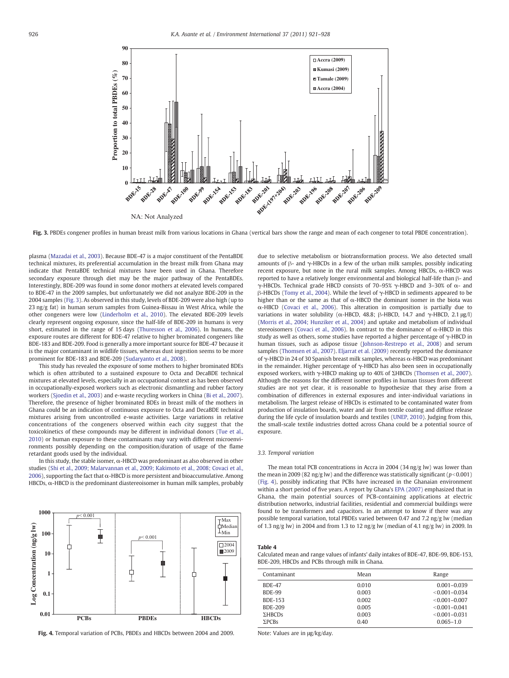<span id="page-5-0"></span>

Fig. 3. PBDEs congener profiles in human breast milk from various locations in Ghana (vertical bars show the range and mean of each congener to total PBDE concentration).

plasma [\(Mazadai et al., 2003](#page-7-0)). Because BDE-47 is a major constituent of the PentaBDE technical mixtures, its preferential accumulation in the breast milk from Ghana may indicate that PentaBDE technical mixtures have been used in Ghana. Therefore secondary exposure through diet may be the major pathway of the PentaBDEs. Interestingly, BDE-209 was found in some donor mothers at elevated levels compared to BDE-47 in the 2009 samples, but unfortunately we did not analyze BDE-209 in the 2004 samples (Fig. 3). As observed in this study, levels of BDE-209 were also high (up to 23 ng/g fat) in human serum samples from Guinea-Bissau in West Africa, while the other congeners were low ([Linderholm et al., 2010\)](#page-7-0). The elevated BDE-209 levels clearly represent ongoing exposure, since the half-life of BDE-209 in humans is very short, estimated in the range of 15 days [\(Thuresson et al., 2006](#page-7-0)). In humans, the exposure routes are different for BDE-47 relative to higher brominated congeners like BDE-183 and BDE-209. Food is generally a more important source for BDE-47 because it is the major contaminant in wildlife tissues, whereas dust ingestion seems to be more prominent for BDE-183 and BDE-209 [\(Sudaryanto et al., 2008\)](#page-7-0).

This study has revealed the exposure of some mothers to higher brominated BDEs which is often attributed to a sustained exposure to Octa and DecaBDE technical mixtures at elevated levels, especially in an occupational context as has been observed in occupationally-exposed workers such as electronic dismantling and rubber factory workers [\(Sjoedin et al., 2003](#page-7-0)) and e-waste recycling workers in China [\(Bi et al., 2007\)](#page-6-0). Therefore, the presence of higher brominated BDEs in breast milk of the mothers in Ghana could be an indication of continuous exposure to Octa and DecaBDE technical mixtures arising from uncontrolled e-waste activities. Large variations in relative concentrations of the congeners observed within each city suggest that the toxicokinetics of these compounds may be different in individual donors ([Tue et al.,](#page-7-0) [2010](#page-7-0)) or human exposure to these contaminants may vary with different microenvironments possibly depending on the composition/duration of usage of the flame retardant goods used by the individual.

In this study, the stable isomer, α-HBCD was predominant as also observed in other studies [\(Shi et al., 2009; Malarvannan et al., 2009; Kakimoto et al., 2008; Covaci et al.,](#page-7-0) [2006](#page-7-0)), supporting the fact that α-HBCD is more persistent and bioaccumulative. Among HBCDs,  $\alpha$ -HBCD is the predominant diastereoisomer in human milk samples, probably



Fig. 4. Temporal variation of PCBs, PBDEs and HBCDs between 2004 and 2009.

due to selective metabolism or biotransformation process. We also detected small amounts of  $\beta$ - and  $\gamma$ -HBCDs in a few of the urban milk samples, possibly indicating recent exposure, but none in the rural milk samples. Among HBCDs,  $α$ -HBCD was reported to have a relatively longer environmental and biological half-life than β- and γ-HBCDs. Technical grade HBCD consists of 70–95% γ-HBCD and 3–30% of  $\alpha$ - and β-HBCDs ([Tomy et al., 2004](#page-7-0)). While the level of γ-HBCD in sediments appeared to be higher than or the same as that of  $\alpha$ -HBCD the dominant isomer in the biota was α-HBCD ([Covaci et al., 2006\)](#page-6-0). This alteration in composition is partially due to variations in water solubility (α-HBCD, 48.8; β-HBCD, 14.7 and γ-HBCD, 2.1 μg/l) ([Morris et al., 2004; Hunziker et al., 2004](#page-7-0)) and uptake and metabolism of individual stereoisomers ([Covaci et al., 2006](#page-6-0)). In contrast to the dominance of  $\alpha$ -HBCD in this study as well as others, some studies have reported a higher percentage of γ-HBCD in human tissues, such as adipose tissue ([Johnson-Restrepo et al., 2008](#page-7-0)) and serum samples ([Thomsen et al., 2007](#page-7-0)). [Eljarrat et al. \(2009\)](#page-6-0) recently reported the dominance of γ-HBCD in 24 of 30 Spanish breast milk samples, whereas α-HBCD was predominant in the remainder. Higher percentage of  $\gamma$ -HBCD has also been seen in occupationally exposed workers, with γ-HBCD making up to 40% of ΣHBCDs [\(Thomsen et al., 2007\)](#page-7-0). Although the reasons for the different isomer profiles in human tissues from different studies are not yet clear, it is reasonable to hypothesize that they arise from a combination of differences in external exposures and inter-individual variations in metabolism. The largest release of HBCDs is estimated to be contaminated water from production of insulation boards, water and air from textile coating and diffuse release during the life cycle of insulation boards and textiles [\(UNEP, 2010](#page-7-0)). Judging from this, the small-scale textile industries dotted across Ghana could be a potential source of exposure.

#### 3.3. Temporal variation

The mean total PCB concentrations in Accra in 2004 (34 ng/g lw) was lower than the mean in 2009 (82 ng/g lw) and the difference was statistically significant ( $p<0.001$ ) (Fig. 4), possibly indicating that PCBs have increased in the Ghanaian environment within a short period of five years. A report by Ghana's [EPA \(2007\)](#page-6-0) emphasized that in Ghana, the main potential sources of PCB-containing applications at electric distribution networks, industrial facilities, residential and commercial buildings were found to be transformers and capacitors. In an attempt to know if there was any possible temporal variation, total PBDEs varied between 0.47 and 7.2 ng/g lw (median of 1.3 ng/g lw) in 2004 and from 1.3 to 12 ng/g lw (median of 4.1 ng/g lw) in 2009. In

# Table 4

Calculated mean and range values of infants' daily intakes of BDE-47, BDE-99, BDE-153, BDE-209, HBCDs and PCBs through milk in Ghana.

| Contaminant    | Mean  | Range             |
|----------------|-------|-------------------|
| <b>BDE-47</b>  | 0.010 | $0.001 - 0.039$   |
| <b>BDE-99</b>  | 0.003 | $< 0.001 - 0.034$ |
| <b>BDE-153</b> | 0.002 | $< 0.001 - 0.007$ |
| <b>BDF-209</b> | 0.005 | $< 0.001 - 0.041$ |
| $\Sigma$ HBCDs | 0.003 | $< 0.001 - 0.031$ |
| $\Sigma$ PCBs  | 0.40  | $0.065 - 1.0$     |

Note: Values are in μg/kg/day.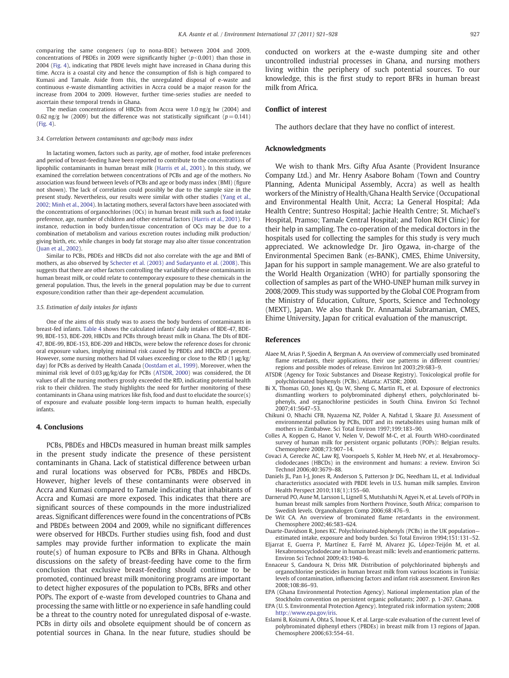<span id="page-6-0"></span>comparing the same congeners (up to nona-BDE) between 2004 and 2009, concentrations of PBDEs in 2009 were significantly higher ( $p<0.001$ ) than those in 2004 [\(Fig. 4](#page-5-0)), indicating that PBDE levels might have increased in Ghana during this time. Accra is a coastal city and hence the consumption of fish is high compared to Kumasi and Tamale. Aside from this, the unregulated disposal of e-waste and continuous e-waste dismantling activities in Accra could be a major reason for the increase from 2004 to 2009. However, further time-series studies are needed to ascertain these temporal trends in Ghana.

The median concentrations of HBCDs from Accra were 1.0 ng/g lw (2004) and 0.62 ng/g lw (2009) but the difference was not statistically significant ( $p = 0.141$ ) [\(Fig. 4\)](#page-5-0).

#### 3.4. Correlation between contaminants and age/body mass index

In lactating women, factors such as parity, age of mother, food intake preferences and period of breast-feeding have been reported to contribute to the concentrations of lipophilic contaminants in human breast milk ([Harris et al., 2001\)](#page-7-0). In this study, we examined the correlation between concentrations of PCBs and age of the mothers. No association was found between levels of PCBs and age or body mass index (BMI) (figure not shown). The lack of correlation could possibly be due to the sample size in the present study. Nevertheless, our results were similar with other studies ([Yang et al.,](#page-7-0) [2002; Minh et al., 2004\)](#page-7-0). In lactating mothers, several factors have been associated with the concentrations of organochlorines (OCs) in human breast milk such as food intake preference, age, number of children and other external factors [\(Harris et al., 2001](#page-7-0)). For instance, reduction in body burden/tissue concentration of OCs may be due to a combination of metabolism and various excretion routes including milk production/ giving birth, etc. while changes in body fat storage may also alter tissue concentration [\(Juan et al., 2002](#page-7-0)).

Similar to PCBs, PBDEs and HBCDs did not also correlate with the age and BMI of mothers, as also observed by [Schecter et al. \(2003\) and Sudaryanto et al. \(2008\)](#page-7-0). This suggests that there are other factors controlling the variability of these contaminants in human breast milk, or could relate to contemporary exposure to these chemicals in the general population. Thus, the levels in the general population may be due to current exposure/condition rather than their age-dependent accumulation.

#### 3.5. Estimation of daily intakes for infants

One of the aims of this study was to assess the body burdens of contaminants in breast-fed infants. [Table 4](#page-5-0) shows the calculated infants' daily intakes of BDE-47, BDE-99, BDE-153, BDE-209, HBCDs and PCBs through breast milk in Ghana. The DIs of BDE-47, BDE-99, BDE-153, BDE-209 and HBCDs, were below the reference doses for chronic oral exposure values, implying minimal risk caused by PBDEs and HBCDs at present. However, some nursing mothers had DI values exceeding or close to the RfD (1 μg/kg/ day) for PCBs as derived by Health Canada [\(Oostdam et al., 1999\)](#page-7-0). Moreover, when the minimal risk level of 0.03 μg/kg/day for PCBs (ATSDR, 2000) was considered, the DI values of all the nursing mothers grossly exceeded the RfD, indicating potential health risk to their children. The study highlights the need for further monitoring of these contaminants in Ghana using matrices like fish, food and dust to elucidate the source(s) of exposure and evaluate possible long-term impacts to human health, especially infants.

# 4. Conclusions

PCBs, PBDEs and HBCDs measured in human breast milk samples in the present study indicate the presence of these persistent contaminants in Ghana. Lack of statistical difference between urban and rural locations was observed for PCBs, PBDEs and HBCDs. However, higher levels of these contaminants were observed in Accra and Kumasi compared to Tamale indicating that inhabitants of Accra and Kumasi are more exposed. This indicates that there are significant sources of these compounds in the more industrialized areas. Significant differences were found in the concentrations of PCBs and PBDEs between 2004 and 2009, while no significant differences were observed for HBCDs. Further studies using fish, food and dust samples may provide further information to explicate the main route(s) of human exposure to PCBs and BFRs in Ghana. Although discussions on the safety of breast-feeding have come to the firm conclusion that exclusive breast-feeding should continue to be promoted, continued breast milk monitoring programs are important to detect higher exposures of the population to PCBs, BFRs and other POPs. The export of e-waste from developed countries to Ghana and processing the same with little or no experience in safe handling could be a threat to the country noted for unregulated disposal of e-waste. PCBs in dirty oils and obsolete equipment should be of concern as potential sources in Ghana. In the near future, studies should be

conducted on workers at the e-waste dumping site and other uncontrolled industrial processes in Ghana, and nursing mothers living within the periphery of such potential sources. To our knowledge, this is the first study to report BFRs in human breast milk from Africa.

### Conflict of interest

The authors declare that they have no conflict of interest.

# Acknowledgments

We wish to thank Mrs. Gifty Afua Asante (Provident Insurance Company Ltd.) and Mr. Henry Asabore Boham (Town and Country Planning, Adenta Municipal Assembly, Accra) as well as health workers of the Ministry of Health/Ghana Health Service (Occupational and Environmental Health Unit, Accra; La General Hospital; Ada Health Centre; Suntreso Hospital; Jachie Health Centre; St. Michael's Hospital, Pramso; Tamale Central Hospital; and Tolon RCH Clinic) for their help in sampling. The co-operation of the medical doctors in the hospitals used for collecting the samples for this study is very much appreciated. We acknowledge Dr. Jiro Ogawa, in-charge of the Environmental Specimen Bank (es-BANK), CMES, Ehime University, Japan for his support in sample management. We are also grateful to the World Health Organization (WHO) for partially sponsoring the collection of samples as part of the WHO-UNEP human milk survey in 2008/2009. This study was supported by the Global COE Program from the Ministry of Education, Culture, Sports, Science and Technology (MEXT), Japan. We also thank Dr. Annamalai Subramanian, CMES, Ehime University, Japan for critical evaluation of the manuscript.

#### References

- Alaee M, Arias P, Sjoedin A, Bergman A. An overview of commercially used brominated flame retardants, their applications, their use patterns in different countries/ regions and possible modes of release. Environ Int 2003;29:683–9.
- ATSDR (Agency for Toxic Substances and Disease Registry). Toxicological profile for polychlorinated biphenyls (PCBs). Atlanta: ATSDR; 2000.
- Bi X, Thomas GO, Jones KJ, Qu W, Sheng G, Martin FL, et al. Exposure of electronics dismantling workers to polybrominated diphenyl ethers, polychlorinated biphenyls, and organochlorine pesticides in South China. Environ Sci Technol 2007;41:5647–53.
- Chikuni O, Nhachi CFB, Nyazema NZ, Polder A, Nafstad I, Skaare JU. Assessment of environmental pollution by PCBs, DDT and its metabolites using human milk of mothers in Zimbabwe. Sci Total Environ 1997;199:183–90.
- Colles A, Koppen G, Hanot V, Nelen V, Dewolf M-C, et al. Fourth WHO-coordinated survey of human milk for persistent organic pollutants (POPs): Belgian results. Chemosphere 2008;73:907–14.
- Covaci A, Gerecke AC, Law RJ, Voorspoels S, Kohler M, Heeb NV, et al. Hexabromocyclododecanes (HBCDs) in the environment and humans: a review. Environ Sci Technol 2006;40:3679–88.
- Daniels JL, Pan I-J, Jones R, Anderson S, Patterson Jr DG, Needham LL, et al. Individual characteristics associated with PBDE levels in U.S. human milk samples. Environ Health Perspect 2010;118(1):155–60.
- Darnerud PO, Aune M, Larsson L, Lignell S, Mutshatshi N, Agyei N, et al. Levels of POPs in human breast milk samples from Northern Province, South Africa; comparison to Swedish levels. Organohalogen Comp 2006;68:476–9.
- Wit CA. An overview of brominated flame retardants in the environment. Chemosphere 2002;46:583–624.
- Duarte-Davidson R, Jones KC. Polychlorinated-biphenyls (PCBs) in the UK population estimated intake, exposure and body burden. Sci Total Environ 1994;151:131–52.
- Eljarrat E, Guerra P, Martínez E, Farré M, Alvarez JG, López-Teijón M, et al. Hexabromocyclododecane in human breast milk: levels and enantiomeric patterns. Environ Sci Technol 2009;43:1940–6.
- Ennaceur S, Gandoura N, Driss MR. Distribution of polychlorinated biphenyls and organochlorine pesticides in human breast milk from various locations in Tunisia: levels of contamination, influencing factors and infant risk assessment. Environ Res 2008;108:86–93.
- EPA (Ghana Environmental Protection Agency). National implementation plan of the Stockholm convention on persistent organic pollutants; 2007. p. 1-267. Ghana.
- EPA (U. S. Environmental Protection Agency). Integrated risk information system; 2008 <http://www.epa.gov/iris>.
- Eslami B, Koizumi A, Ohta S, Inoue K, et al. Large-scale evaluation of the current level of polybrominated diphenyl ethers (PBDEs) in breast milk from 13 regions of Japan. Chemosphere 2006;63:554–61.